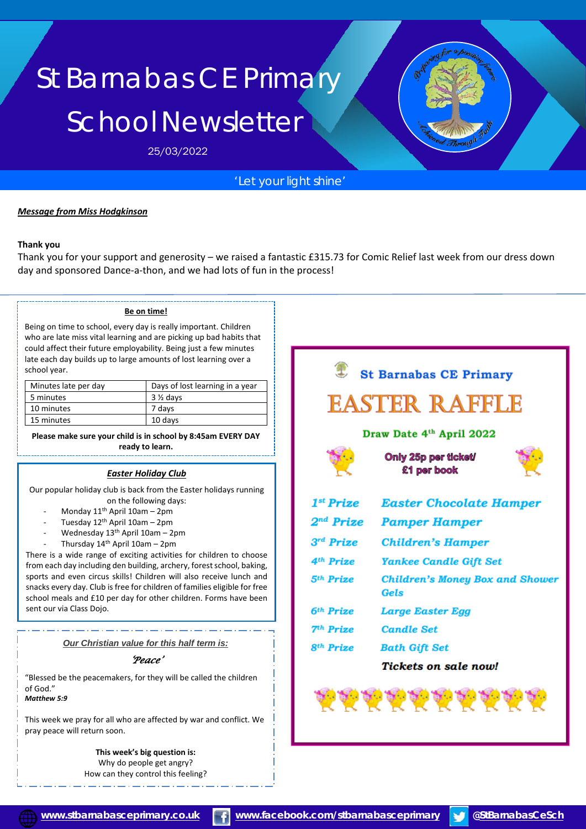# St Barnabas CE Primary School Newsletter

25/03/2022

## *'Let your light shine'*

#### *Message from Miss Hodgkinson*

#### **Thank you**

Thank you for your support and generosity – we raised a fantastic £315.73 for Comic Relief last week from our dress down day and sponsored Dance-a-thon, and we had lots of fun in the process!

#### **Be on time!**

Being on time to school, every day is really important. Children who are late miss vital learning and are picking up bad habits that could affect their future employability. Being just a few minutes late each day builds up to large amounts of lost learning over a school year.

| Minutes late per day | Days of lost learning in a year |
|----------------------|---------------------------------|
| 5 minutes            | $3\%$ days                      |
| 10 minutes           | 7 days                          |
| 15 minutes           | 10 days                         |

**Please make sure your child is in school by 8:45am EVERY DAY ready to learn.**

### *Easter Holiday Club*

Our popular holiday club is back from the Easter holidays running on the following days:

- Monday  $11<sup>th</sup>$  April 10am 2pm
- Tuesday  $12<sup>th</sup>$  April 10am 2pm
- Wednesday  $13<sup>th</sup>$  April 10am 2pm
- Thursday  $14<sup>th</sup>$  April 10am 2pm

There is a wide range of exciting activities for children to choose from each day including den building, archery, forest school, baking, sports and even circus skills! Children will also receive lunch and snacks every day. Club is free for children of families eligible for free school meals and £10 per day for other children. Forms have been sent our via Class Dojo.

*Our Christian value for this half term is:*

#### *'Peace'*

"Blessed be the peacemakers, for they will be called the children of God." *Matthew 5:9*

This week we pray for all who are affected by war and conflict. We pray peace will return soon.

> **This week's big question is:** Why do people get angry? How can they control this feeling?





i